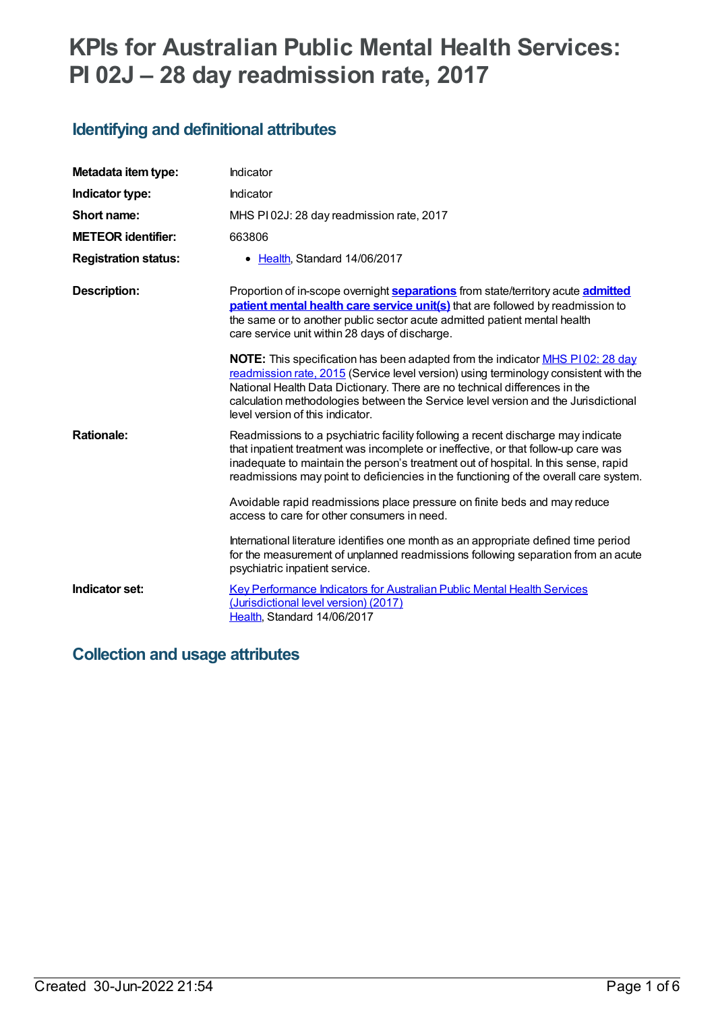# **KPIs for Australian Public Mental Health Services: PI 02J – 28 day readmission rate, 2017**

# **Identifying and definitional attributes**

| Metadata item type:         | Indicator                                                                                                                                                                                                                                                                                                                                                                                                                           |
|-----------------------------|-------------------------------------------------------------------------------------------------------------------------------------------------------------------------------------------------------------------------------------------------------------------------------------------------------------------------------------------------------------------------------------------------------------------------------------|
| Indicator type:             | Indicator                                                                                                                                                                                                                                                                                                                                                                                                                           |
| Short name:                 | MHS PI02J: 28 day readmission rate, 2017                                                                                                                                                                                                                                                                                                                                                                                            |
| <b>METEOR identifier:</b>   | 663806                                                                                                                                                                                                                                                                                                                                                                                                                              |
| <b>Registration status:</b> | • Health, Standard 14/06/2017                                                                                                                                                                                                                                                                                                                                                                                                       |
| Description:                | Proportion of in-scope overnight <b>separations</b> from state/territory acute <b>admitted</b><br>patient mental health care service unit(s) that are followed by readmission to<br>the same or to another public sector acute admitted patient mental health<br>care service unit within 28 days of discharge.                                                                                                                     |
|                             | <b>NOTE:</b> This specification has been adapted from the indicator MHS P102: 28 day<br>readmission rate, 2015 (Service level version) using terminology consistent with the<br>National Health Data Dictionary. There are no technical differences in the<br>calculation methodologies between the Service level version and the Jurisdictional<br>level version of this indicator.                                                |
| <b>Rationale:</b>           | Readmissions to a psychiatric facility following a recent discharge may indicate<br>that inpatient treatment was incomplete or ineffective, or that follow-up care was<br>inadequate to maintain the person's treatment out of hospital. In this sense, rapid<br>readmissions may point to deficiencies in the functioning of the overall care system.<br>Avoidable rapid readmissions place pressure on finite beds and may reduce |
|                             | access to care for other consumers in need.                                                                                                                                                                                                                                                                                                                                                                                         |
|                             | International literature identifies one month as an appropriate defined time period<br>for the measurement of unplanned readmissions following separation from an acute<br>psychiatric inpatient service.                                                                                                                                                                                                                           |
| Indicator set:              | <b>Key Performance Indicators for Australian Public Mental Health Services</b><br>(Jurisdictional level version) (2017)<br>Health, Standard 14/06/2017                                                                                                                                                                                                                                                                              |

# **Collection and usage attributes**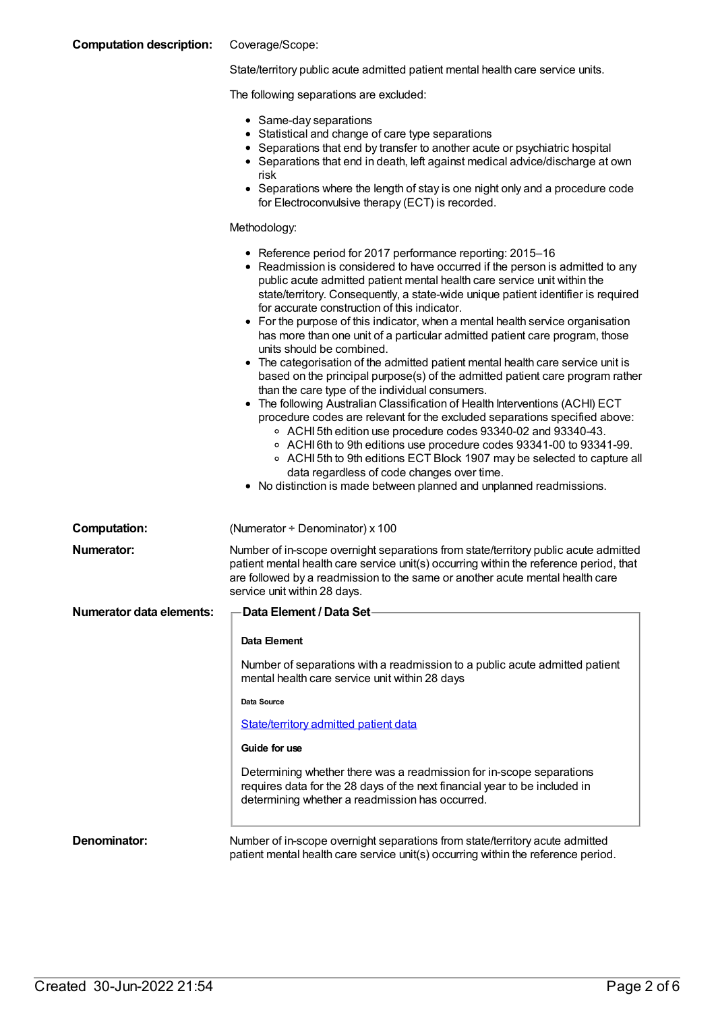| <b>Computation description:</b> | Coverage/Scope:                                                                                                                                                                                                                                                                                                                                                                                                                                                                                                                                                                                                                                                                                                                                                                                                                                                                                                                                                                                                                                                                                                                                                                                                                                                                          |
|---------------------------------|------------------------------------------------------------------------------------------------------------------------------------------------------------------------------------------------------------------------------------------------------------------------------------------------------------------------------------------------------------------------------------------------------------------------------------------------------------------------------------------------------------------------------------------------------------------------------------------------------------------------------------------------------------------------------------------------------------------------------------------------------------------------------------------------------------------------------------------------------------------------------------------------------------------------------------------------------------------------------------------------------------------------------------------------------------------------------------------------------------------------------------------------------------------------------------------------------------------------------------------------------------------------------------------|
|                                 | State/territory public acute admitted patient mental health care service units.                                                                                                                                                                                                                                                                                                                                                                                                                                                                                                                                                                                                                                                                                                                                                                                                                                                                                                                                                                                                                                                                                                                                                                                                          |
|                                 | The following separations are excluded:                                                                                                                                                                                                                                                                                                                                                                                                                                                                                                                                                                                                                                                                                                                                                                                                                                                                                                                                                                                                                                                                                                                                                                                                                                                  |
|                                 | • Same-day separations<br>• Statistical and change of care type separations<br>• Separations that end by transfer to another acute or psychiatric hospital<br>• Separations that end in death, left against medical advice/discharge at own<br>risk<br>• Separations where the length of stay is one night only and a procedure code<br>for Electroconvulsive therapy (ECT) is recorded.                                                                                                                                                                                                                                                                                                                                                                                                                                                                                                                                                                                                                                                                                                                                                                                                                                                                                                 |
|                                 | Methodology:                                                                                                                                                                                                                                                                                                                                                                                                                                                                                                                                                                                                                                                                                                                                                                                                                                                                                                                                                                                                                                                                                                                                                                                                                                                                             |
|                                 | • Reference period for 2017 performance reporting: 2015-16<br>• Readmission is considered to have occurred if the person is admitted to any<br>public acute admitted patient mental health care service unit within the<br>state/territory. Consequently, a state-wide unique patient identifier is required<br>for accurate construction of this indicator.<br>• For the purpose of this indicator, when a mental health service organisation<br>has more than one unit of a particular admitted patient care program, those<br>units should be combined.<br>• The categorisation of the admitted patient mental health care service unit is<br>based on the principal purpose(s) of the admitted patient care program rather<br>than the care type of the individual consumers.<br>The following Australian Classification of Health Interventions (ACHI) ECT<br>procedure codes are relevant for the excluded separations specified above:<br>○ ACHI 5th edition use procedure codes 93340-02 and 93340-43.<br>○ ACHI 6th to 9th editions use procedure codes 93341-00 to 93341-99.<br>○ ACHI 5th to 9th editions ECT Block 1907 may be selected to capture all<br>data regardless of code changes over time.<br>• No distinction is made between planned and unplanned readmissions. |
| <b>Computation:</b>             | (Numerator + Denominator) x 100                                                                                                                                                                                                                                                                                                                                                                                                                                                                                                                                                                                                                                                                                                                                                                                                                                                                                                                                                                                                                                                                                                                                                                                                                                                          |
| <b>Numerator:</b>               | Number of in-scope overnight separations from state/territory public acute admitted<br>patient mental health care service unit(s) occurring within the reference period, that<br>are followed by a readmission to the same or another acute mental health care<br>service unit within 28 days.                                                                                                                                                                                                                                                                                                                                                                                                                                                                                                                                                                                                                                                                                                                                                                                                                                                                                                                                                                                           |
| <b>Numerator data elements:</b> | Data Element / Data Set-                                                                                                                                                                                                                                                                                                                                                                                                                                                                                                                                                                                                                                                                                                                                                                                                                                                                                                                                                                                                                                                                                                                                                                                                                                                                 |
|                                 | Data Element                                                                                                                                                                                                                                                                                                                                                                                                                                                                                                                                                                                                                                                                                                                                                                                                                                                                                                                                                                                                                                                                                                                                                                                                                                                                             |
|                                 | Number of separations with a readmission to a public acute admitted patient<br>mental health care service unit within 28 days                                                                                                                                                                                                                                                                                                                                                                                                                                                                                                                                                                                                                                                                                                                                                                                                                                                                                                                                                                                                                                                                                                                                                            |
|                                 | Data Source                                                                                                                                                                                                                                                                                                                                                                                                                                                                                                                                                                                                                                                                                                                                                                                                                                                                                                                                                                                                                                                                                                                                                                                                                                                                              |
|                                 | <b>State/territory admitted patient data</b>                                                                                                                                                                                                                                                                                                                                                                                                                                                                                                                                                                                                                                                                                                                                                                                                                                                                                                                                                                                                                                                                                                                                                                                                                                             |
|                                 | Guide for use                                                                                                                                                                                                                                                                                                                                                                                                                                                                                                                                                                                                                                                                                                                                                                                                                                                                                                                                                                                                                                                                                                                                                                                                                                                                            |
|                                 | Determining whether there was a readmission for in-scope separations<br>requires data for the 28 days of the next financial year to be included in<br>determining whether a readmission has occurred.                                                                                                                                                                                                                                                                                                                                                                                                                                                                                                                                                                                                                                                                                                                                                                                                                                                                                                                                                                                                                                                                                    |
| Denominator:                    | Number of in-scope overnight separations from state/territory acute admitted<br>patient mental health care service unit(s) occurring within the reference period.                                                                                                                                                                                                                                                                                                                                                                                                                                                                                                                                                                                                                                                                                                                                                                                                                                                                                                                                                                                                                                                                                                                        |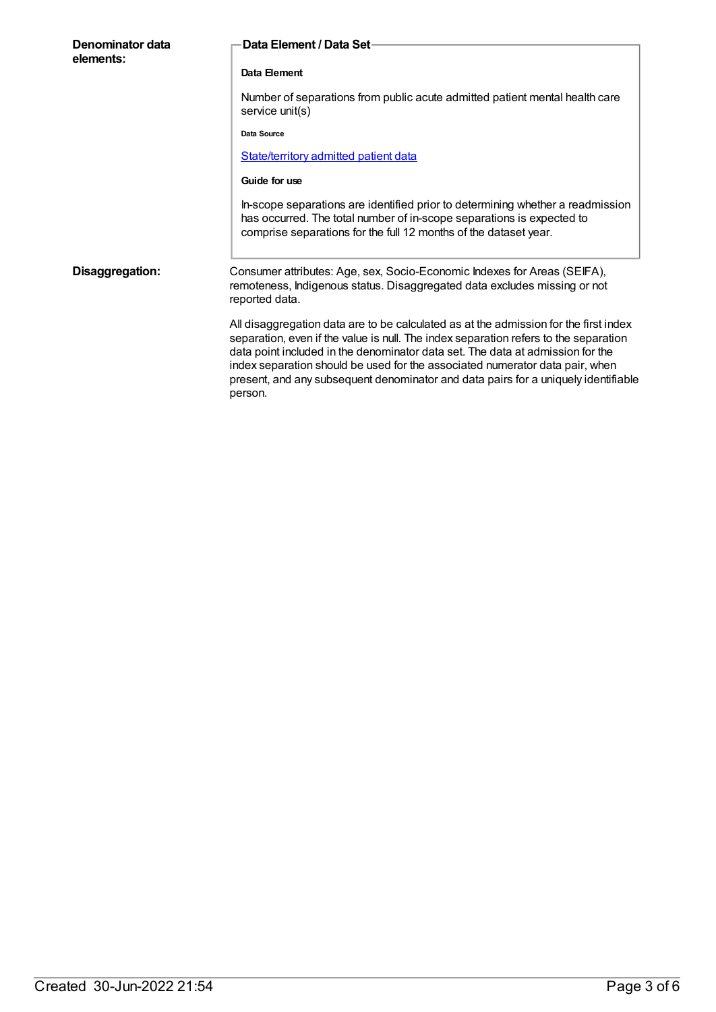| Denominator data<br>elements: | Data Element / Data Set-                                                                                                                                                                                                                                                                                                                                                                                                                        |
|-------------------------------|-------------------------------------------------------------------------------------------------------------------------------------------------------------------------------------------------------------------------------------------------------------------------------------------------------------------------------------------------------------------------------------------------------------------------------------------------|
|                               | Data Element                                                                                                                                                                                                                                                                                                                                                                                                                                    |
|                               | Number of separations from public acute admitted patient mental health care<br>service unit(s)                                                                                                                                                                                                                                                                                                                                                  |
|                               | Data Source                                                                                                                                                                                                                                                                                                                                                                                                                                     |
|                               | State/territory admitted patient data                                                                                                                                                                                                                                                                                                                                                                                                           |
|                               | Guide for use                                                                                                                                                                                                                                                                                                                                                                                                                                   |
|                               | In-scope separations are identified prior to determining whether a readmission<br>has occurred. The total number of in-scope separations is expected to<br>comprise separations for the full 12 months of the dataset year.                                                                                                                                                                                                                     |
| Disaggregation:               | Consumer attributes: Age, sex, Socio-Economic Indexes for Areas (SEIFA),<br>remoteness, Indigenous status. Disaggregated data excludes missing or not<br>reported data.                                                                                                                                                                                                                                                                         |
|                               | All disaggregation data are to be calculated as at the admission for the first index<br>separation, even if the value is null. The index separation refers to the separation<br>data point included in the denominator data set. The data at admission for the<br>index separation should be used for the associated numerator data pair, when<br>present, and any subsequent denominator and data pairs for a uniquely identifiable<br>person. |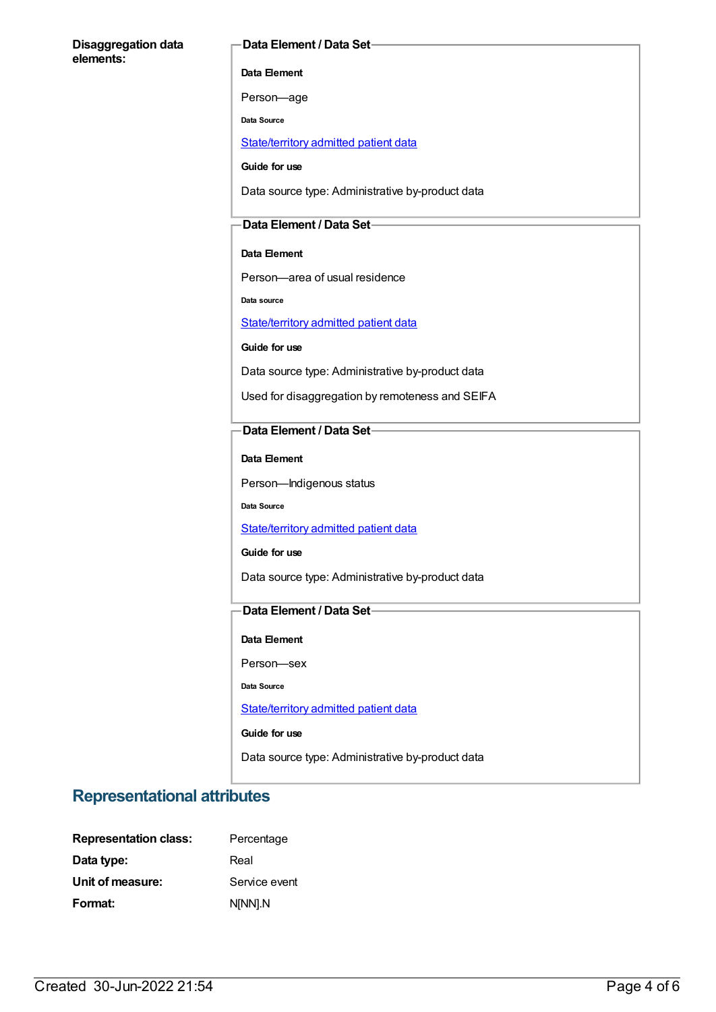#### **Disaggregation data elements:**

#### **Data Element / Data Set**

**Data Element**

Person—age

**Data Source**

[State/territory](file:///content/426458) admitted patient data

**Guide for use**

Data source type: Administrative by-product data

#### **Data Element / Data Set**

#### **Data Element**

Person—area of usual residence

**Data source**

[State/territory](file:///content/426458) admitted patient data

**Guide for use**

Data source type: Administrative by-product data

Used for disaggregation by remoteness and SEIFA

#### **Data Element / Data Set**

**Data Element**

Person—Indigenous status

**Data Source**

[State/territory](file:///content/426458) admitted patient data

**Guide for use**

Data source type: Administrative by-product data

#### **Data Element / Data Set**

**Data Element**

Person—sex

**Data Source**

[State/territory](file:///content/426458) admitted patient data

**Guide for use**

Data source type: Administrative by-product data

### **Representational attributes**

| <b>Representation class:</b> | Percentage    |
|------------------------------|---------------|
| Data type:                   | Real          |
| Unit of measure:             | Service event |
| Format:                      | N[NN].N       |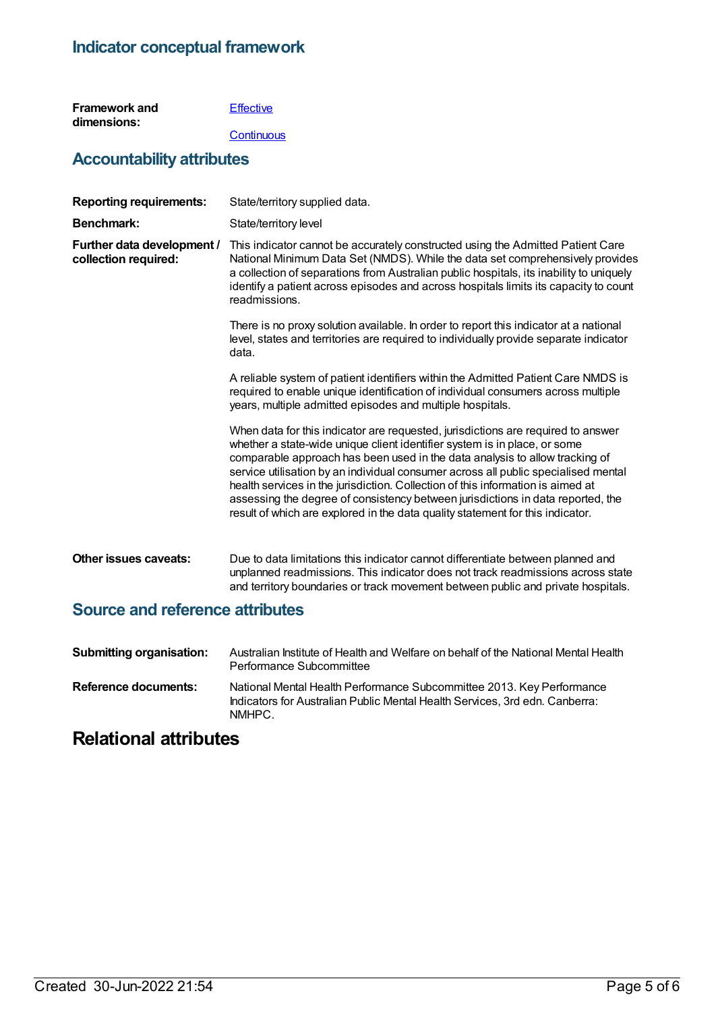### **Indicator conceptual framework**

| <b>Framework and</b> | Effective |
|----------------------|-----------|
| dimensions:          |           |

#### **[Continuous](https://meteor.aihw.gov.au/content/584864)**

## **Accountability attributes**

| <b>Reporting requirements:</b>                     | State/territory supplied data.                                                                                                                                                                                                                                                                                                                                                                                                                                                                                                                                                             |
|----------------------------------------------------|--------------------------------------------------------------------------------------------------------------------------------------------------------------------------------------------------------------------------------------------------------------------------------------------------------------------------------------------------------------------------------------------------------------------------------------------------------------------------------------------------------------------------------------------------------------------------------------------|
| Benchmark:                                         | State/territory level                                                                                                                                                                                                                                                                                                                                                                                                                                                                                                                                                                      |
| Further data development /<br>collection required: | This indicator cannot be accurately constructed using the Admitted Patient Care<br>National Minimum Data Set (NMDS). While the data set comprehensively provides<br>a collection of separations from Australian public hospitals, its inability to uniquely<br>identify a patient across episodes and across hospitals limits its capacity to count<br>readmissions.                                                                                                                                                                                                                       |
|                                                    | There is no proxy solution available. In order to report this indicator at a national<br>level, states and territories are required to individually provide separate indicator<br>data.                                                                                                                                                                                                                                                                                                                                                                                                    |
|                                                    | A reliable system of patient identifiers within the Admitted Patient Care NMDS is<br>required to enable unique identification of individual consumers across multiple<br>years, multiple admitted episodes and multiple hospitals.                                                                                                                                                                                                                                                                                                                                                         |
|                                                    | When data for this indicator are requested, jurisdictions are required to answer<br>whether a state-wide unique client identifier system is in place, or some<br>comparable approach has been used in the data analysis to allow tracking of<br>service utilisation by an individual consumer across all public specialised mental<br>health services in the jurisdiction. Collection of this information is aimed at<br>assessing the degree of consistency between jurisdictions in data reported, the<br>result of which are explored in the data quality statement for this indicator. |
| <b>Other issues caveats:</b>                       | Due to data limitations this indicator cannot differentiate between planned and<br>unplanned readmissions. This indicator does not track readmissions across state<br>and territory boundaries or track movement between public and private hospitals.                                                                                                                                                                                                                                                                                                                                     |
| <b>Source and reference attributes</b>             |                                                                                                                                                                                                                                                                                                                                                                                                                                                                                                                                                                                            |

### **Submitting organisation:** Australian Institute of Health and Welfare on behalf of the National Mental Health Performance Subcommittee **Reference documents:** National Mental Health Performance Subcommittee 2013. Key Performance Indicators for Australian Public Mental Health Services, 3rd edn. Canberra: NMHPC.

# **Relational attributes**